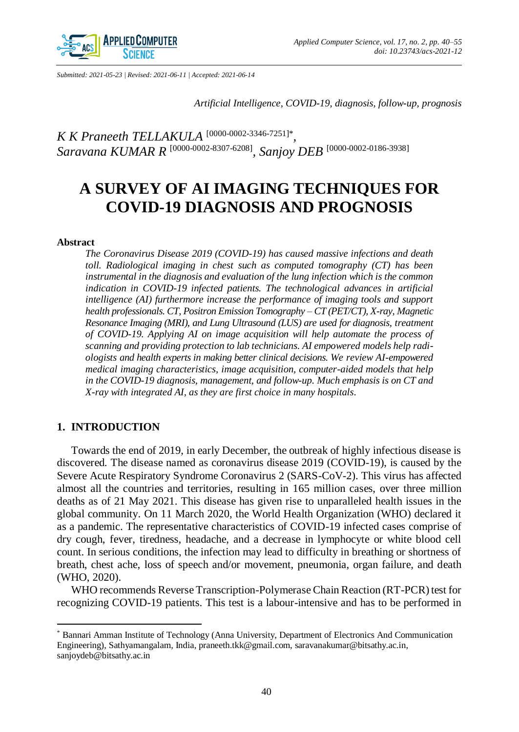

*Submitted: 2021-05-23 | Revised: 2021-06-11 | Accepted: 2021-06-14*

*Artificial Intelligence, COVID-19, diagnosis, follow-up, prognosis*

*K K Praneeth TELLAKULA* [\[0000-0002-3346-7251\]](http://orcid.org/0000-0002-3346-7251)\* *, Saravana KUMAR R* [\[0000-0002-8307-6208\]](http://orcid.org/0000-0002-8307-6208) *, Sanjoy DEB* [\[0000-0002-0186-3938\]](http://orcid.org/0000-0002-0186-3938)

# **A SURVEY OF AI IMAGING TECHNIQUES FOR COVID-19 DIAGNOSIS AND PROGNOSIS**

#### **Abstract**

*The Coronavirus Disease 2019 (COVID-19) has caused massive infections and death toll. Radiological imaging in chest such as computed tomography (CT) has been instrumental in the diagnosis and evaluation of the lung infection which is the common indication in COVID-19 infected patients. The technological advances in artificial intelligence (AI) furthermore increase the performance of imaging tools and support health professionals. CT, Positron Emission Tomography – CT (PET/CT), X-ray, Magnetic Resonance Imaging (MRI), and Lung Ultrasound (LUS) are used for diagnosis, treatment of COVID-19. Applying AI on image acquisition will help automate the process of scanning and providing protection to lab technicians. AI empowered models help radiologists and health experts in making better clinical decisions. We review AI-empowered medical imaging characteristics, image acquisition, computer-aided models that help in the COVID-19 diagnosis, management, and follow-up. Much emphasis is on CT and X-ray with integrated AI, as they are first choice in many hospitals.*

## **1. INTRODUCTION**

 $\overline{a}$ 

Towards the end of 2019, in early December, the outbreak of highly infectious disease is discovered. The disease named as coronavirus disease 2019 (COVID-19), is caused by the Severe Acute Respiratory Syndrome Coronavirus 2 (SARS-CoV-2). This virus has affected almost all the countries and territories, resulting in 165 million cases, over three million deaths as of 21 May 2021. This disease has given rise to unparalleled health issues in the global community. On 11 March 2020, the World Health Organization (WHO) declared it as a pandemic. The representative characteristics of COVID-19 infected cases comprise of dry cough, fever, tiredness, headache, and a decrease in lymphocyte or white blood cell count. In serious conditions, the infection may lead to difficulty in breathing or shortness of breath, chest ache, loss of speech and/or movement, pneumonia, organ failure, and death (WHO, 2020).

WHO recommends Reverse Transcription-Polymerase Chain Reaction (RT-PCR) test for recognizing COVID-19 patients. This test is a labour-intensive and has to be performed in

<sup>\*</sup> Bannari Amman Institute of Technology (Anna University, Department of Electronics And Communication Engineering), Sathyamangalam, India, praneeth.tkk@gmail.com, saravanakumar@bitsathy.ac.in, sanjoydeb@bitsathy.ac.in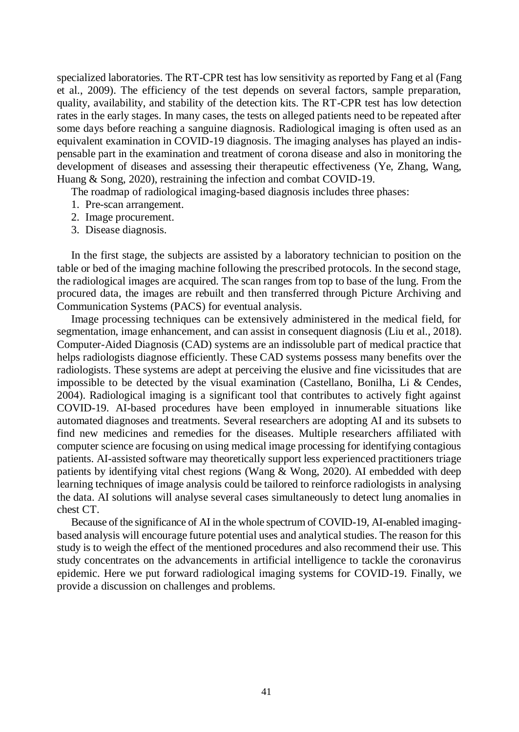specialized laboratories. The RT-CPR test has low sensitivity as reported by Fang et al (Fang et al., 2009). The efficiency of the test depends on several factors, sample preparation, quality, availability, and stability of the detection kits. The RT-CPR test has low detection rates in the early stages. In many cases, the tests on alleged patients need to be repeated after some days before reaching a sanguine diagnosis. Radiological imaging is often used as an equivalent examination in COVID-19 diagnosis. The imaging analyses has played an indispensable part in the examination and treatment of corona disease and also in monitoring the development of diseases and assessing their therapeutic effectiveness (Ye, Zhang, Wang, Huang & Song, 2020), restraining the infection and combat COVID-19.

The roadmap of radiological imaging-based diagnosis includes three phases:

- 1. Pre-scan arrangement.
- 2. Image procurement.
- 3. Disease diagnosis.

In the first stage, the subjects are assisted by a laboratory technician to position on the table or bed of the imaging machine following the prescribed protocols. In the second stage, the radiological images are acquired. The scan ranges from top to base of the lung. From the procured data, the images are rebuilt and then transferred through Picture Archiving and Communication Systems (PACS) for eventual analysis.

Image processing techniques can be extensively administered in the medical field, for segmentation, image enhancement, and can assist in consequent diagnosis (Liu et al., 2018). Computer-Aided Diagnosis (CAD) systems are an indissoluble part of medical practice that helps radiologists diagnose efficiently. These CAD systems possess many benefits over the radiologists. These systems are adept at perceiving the elusive and fine vicissitudes that are impossible to be detected by the visual examination (Castellano, Bonilha, Li  $\&$  Cendes, 2004). Radiological imaging is a significant tool that contributes to actively fight against COVID-19. AI-based procedures have been employed in innumerable situations like automated diagnoses and treatments. Several researchers are adopting AI and its subsets to find new medicines and remedies for the diseases. Multiple researchers affiliated with computer science are focusing on using medical image processing for identifying contagious patients. AI-assisted software may theoretically support less experienced practitioners triage patients by identifying vital chest regions (Wang & Wong, 2020). AI embedded with deep learning techniques of image analysis could be tailored to reinforce radiologists in analysing the data. AI solutions will analyse several cases simultaneously to detect lung anomalies in chest CT.

Because of the significance of AI in the whole spectrum of COVID-19, AI-enabled imagingbased analysis will encourage future potential uses and analytical studies. The reason for this study is to weigh the effect of the mentioned procedures and also recommend their use. This study concentrates on the advancements in artificial intelligence to tackle the coronavirus epidemic. Here we put forward radiological imaging systems for COVID-19. Finally, we provide a discussion on challenges and problems.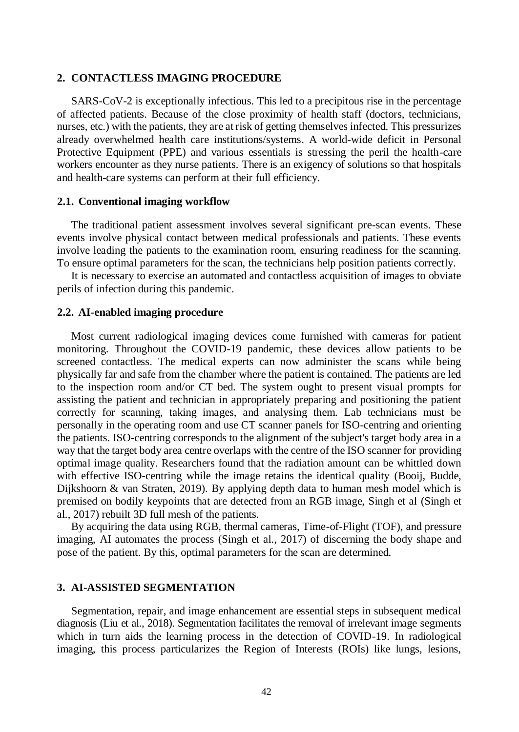#### **2. CONTACTLESS IMAGING PROCEDURE**

SARS-CoV-2 is exceptionally infectious. This led to a precipitous rise in the percentage of affected patients. Because of the close proximity of health staff (doctors, technicians, nurses, etc.) with the patients, they are at risk of getting themselves infected. This pressurizes already overwhelmed health care institutions/systems. A world-wide deficit in Personal Protective Equipment (PPE) and various essentials is stressing the peril the health-care workers encounter as they nurse patients. There is an exigency of solutions so that hospitals and health-care systems can perform at their full efficiency.

### **2.1. Conventional imaging workflow**

The traditional patient assessment involves several significant pre-scan events. These events involve physical contact between medical professionals and patients. These events involve leading the patients to the examination room, ensuring readiness for the scanning. To ensure optimal parameters for the scan, the technicians help position patients correctly.

It is necessary to exercise an automated and contactless acquisition of images to obviate perils of infection during this pandemic.

#### **2.2. AI-enabled imaging procedure**

Most current radiological imaging devices come furnished with cameras for patient monitoring. Throughout the COVID-19 pandemic, these devices allow patients to be screened contactless. The medical experts can now administer the scans while being physically far and safe from the chamber where the patient is contained. The patients are led to the inspection room and/or CT bed. The system ought to present visual prompts for assisting the patient and technician in appropriately preparing and positioning the patient correctly for scanning, taking images, and analysing them. Lab technicians must be personally in the operating room and use CT scanner panels for ISO-centring and orienting the patients. ISO-centring corresponds to the alignment of the subject's target body area in a way that the target body area centre overlaps with the centre of the ISO scanner for providing optimal image quality. Researchers found that the radiation amount can be whittled down with effective ISO-centring while the image retains the identical quality (Booij, Budde, Dijkshoorn & van Straten, 2019). By applying depth data to human mesh model which is premised on bodily keypoints that are detected from an RGB image, Singh et al (Singh et al., 2017) rebuilt 3D full mesh of the patients.

By acquiring the data using RGB, thermal cameras, Time-of-Flight (TOF), and pressure imaging, AI automates the process (Singh et al., 2017) of discerning the body shape and pose of the patient. By this, optimal parameters for the scan are determined.

#### **3. AI-ASSISTED SEGMENTATION**

Segmentation, repair, and image enhancement are essential steps in subsequent medical diagnosis (Liu et al., 2018). Segmentation facilitates the removal of irrelevant image segments which in turn aids the learning process in the detection of COVID-19. In radiological imaging, this process particularizes the Region of Interests (ROIs) like lungs, lesions,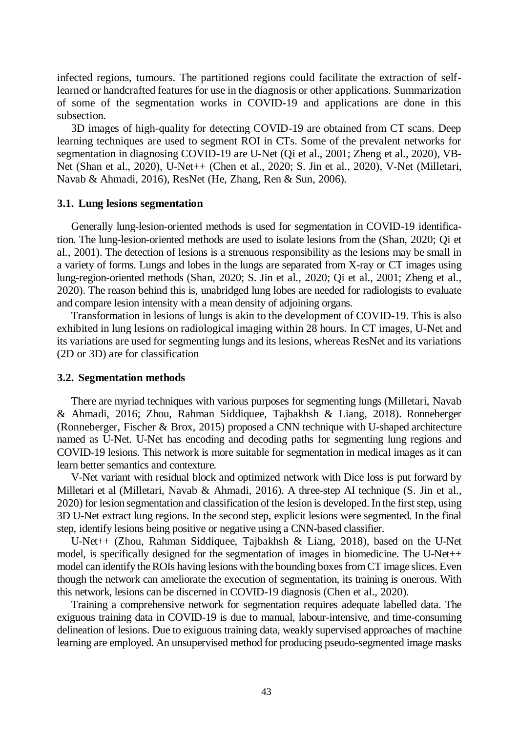infected regions, tumours. The partitioned regions could facilitate the extraction of selflearned or handcrafted features for use in the diagnosis or other applications. Summarization of some of the segmentation works in COVID-19 and applications are done in this subsection.

3D images of high-quality for detecting COVID-19 are obtained from CT scans. Deep learning techniques are used to segment ROI in CTs. Some of the prevalent networks for segmentation in diagnosing COVID-19 are U-Net (Qi et al., 2001; Zheng et al., 2020), VB-Net (Shan et al., 2020), U-Net++ (Chen et al., 2020; S. Jin et al., 2020), V-Net (Milletari, Navab & Ahmadi, 2016), ResNet (He, Zhang, Ren & Sun, 2006).

## **3.1. Lung lesions segmentation**

Generally lung-lesion-oriented methods is used for segmentation in COVID-19 identification. The lung-lesion-oriented methods are used to isolate lesions from the (Shan, 2020; Qi et al., 2001). The detection of lesions is a strenuous responsibility as the lesions may be small in a variety of forms. Lungs and lobes in the lungs are separated from X-ray or CT images using lung-region-oriented methods (Shan, 2020; S. Jin et al., 2020; Qi et al., 2001; Zheng et al., 2020). The reason behind this is, unabridged lung lobes are needed for radiologists to evaluate and compare lesion intensity with a mean density of adjoining organs.

Transformation in lesions of lungs is akin to the development of COVID-19. This is also exhibited in lung lesions on radiological imaging within 28 hours. In CT images, U-Net and its variations are used for segmenting lungs and its lesions, whereas ResNet and its variations (2D or 3D) are for classification

#### **3.2. Segmentation methods**

There are myriad techniques with various purposes for segmenting lungs (Milletari, Navab & Ahmadi, 2016; Zhou, Rahman Siddiquee, Tajbakhsh & Liang, 2018). Ronneberger (Ronneberger, Fischer & Brox, 2015) proposed a CNN technique with U-shaped architecture named as U-Net. U-Net has encoding and decoding paths for segmenting lung regions and COVID-19 lesions. This network is more suitable for segmentation in medical images as it can learn better semantics and contexture.

V-Net variant with residual block and optimized network with Dice loss is put forward by Milletari et al (Milletari, Navab & Ahmadi, 2016). A three-step AI technique (S. Jin et al., 2020) for lesion segmentation and classification of the lesion is developed. In the first step, using 3D U-Net extract lung regions. In the second step, explicit lesions were segmented. In the final step, identify lesions being positive or negative using a CNN-based classifier.

U-Net++ (Zhou, Rahman Siddiquee, Tajbakhsh & Liang, 2018), based on the U-Net model, is specifically designed for the segmentation of images in biomedicine. The U-Net++ model can identify the ROIs having lesions with the bounding boxes from CT image slices. Even though the network can ameliorate the execution of segmentation, its training is onerous. With this network, lesions can be discerned in COVID-19 diagnosis (Chen et al., 2020).

Training a comprehensive network for segmentation requires adequate labelled data. The exiguous training data in COVID-19 is due to manual, labour-intensive, and time-consuming delineation of lesions. Due to exiguous training data, weakly supervised approaches of machine learning are employed. An unsupervised method for producing pseudo-segmented image masks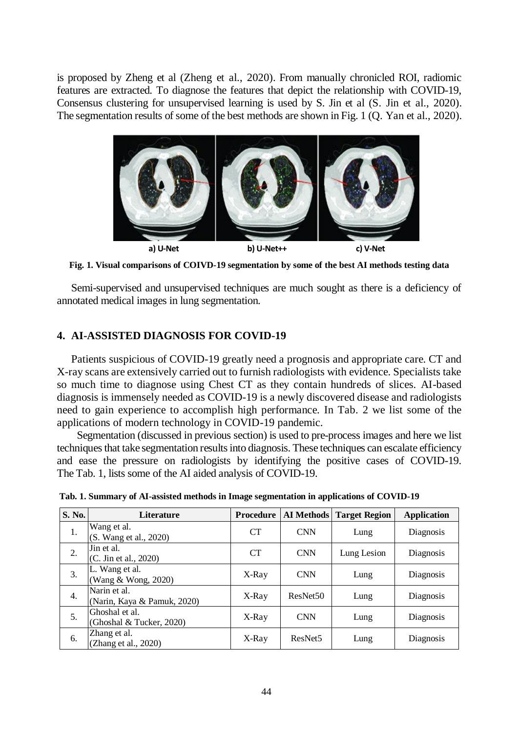is proposed by Zheng et al (Zheng et al., 2020). From manually chronicled ROI, radiomic features are extracted. To diagnose the features that depict the relationship with COVID-19, Consensus clustering for unsupervised learning is used by S. Jin et al (S. Jin et al., 2020). The segmentation results of some of the best methods are shown in Fig. 1 (Q. Yan et al., 2020).



**Fig. 1. Visual comparisons of COIVD-19 segmentation by some of the best AI methods testing data**

Semi-supervised and unsupervised techniques are much sought as there is a deficiency of annotated medical images in lung segmentation.

# **4. AI-ASSISTED DIAGNOSIS FOR COVID-19**

Patients suspicious of COVID-19 greatly need a prognosis and appropriate care. CT and X-ray scans are extensively carried out to furnish radiologists with evidence. Specialists take so much time to diagnose using Chest CT as they contain hundreds of slices. AI-based diagnosis is immensely needed as COVID-19 is a newly discovered disease and radiologists need to gain experience to accomplish high performance. In Tab. 2 we list some of the applications of modern technology in COVID-19 pandemic.

 Segmentation (discussed in previous section) is used to pre-process images and here we list techniques that take segmentation results into diagnosis. These techniques can escalate efficiency and ease the pressure on radiologists by identifying the positive cases of COVID-19. The Tab. 1, lists some of the AI aided analysis of COVID-19.

| S. No.           | Literature                                  | Procedure |                      | <b>AI Methods</b> Target Region | <b>Application</b> |
|------------------|---------------------------------------------|-----------|----------------------|---------------------------------|--------------------|
| 1.               | Wang et al.<br>(S. Wang et al., 2020)       | <b>CT</b> | <b>CNN</b>           | Lung                            | Diagnosis          |
| 2.               | Jin et al.<br>(C. Jin et al., 2020)         | <b>CT</b> | <b>CNN</b>           | Lung Lesion                     | Diagnosis          |
| 3.               | L. Wang et al.<br>(Wang & Wong, 2020)       | X-Ray     | <b>CNN</b>           | Lung                            | Diagnosis          |
| $\overline{4}$ . | Narin et al.<br>(Narin, Kaya & Pamuk, 2020) | X-Ray     | ResNet <sub>50</sub> | Lung                            | Diagnosis          |
| 5.               | Ghoshal et al.<br>(Ghoshal & Tucker, 2020)  | X-Ray     | <b>CNN</b>           | Lung                            | Diagnosis          |
| 6.               | Zhang et al.<br>(Zhang et al., 2020)        | X-Ray     | ResNet <sub>5</sub>  | Lung                            | Diagnosis          |

**Tab. 1. Summary of AI-assisted methods in Image segmentation in applications of COVID-19**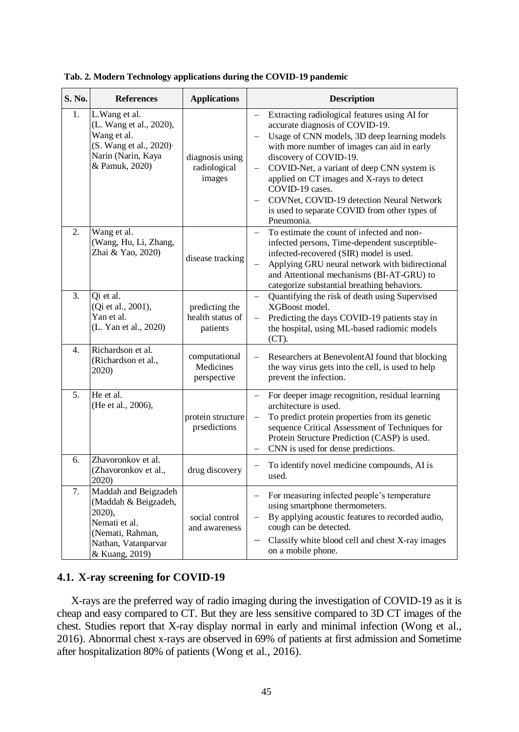| S. No.           | <b>References</b>                                                                                                                       | <b>Applications</b>                            | <b>Description</b>                                                                                                                                                                                                                                                                                                                                                                                                                                       |
|------------------|-----------------------------------------------------------------------------------------------------------------------------------------|------------------------------------------------|----------------------------------------------------------------------------------------------------------------------------------------------------------------------------------------------------------------------------------------------------------------------------------------------------------------------------------------------------------------------------------------------------------------------------------------------------------|
| 1.               | L. Wang et al.<br>(L. Wang et al., 2020),<br>Wang et al.<br>(S. Wang et al., 2020) <sup>,</sup><br>Narin (Narin, Kaya<br>& Pamuk, 2020) | diagnosis using<br>radiological<br>images      | Extracting radiological features using AI for<br>$\qquad \qquad -$<br>accurate diagnosis of COVID-19.<br>Usage of CNN models, 3D deep learning models<br>with more number of images can aid in early<br>discovery of COVID-19.<br>COVID-Net, a variant of deep CNN system is<br>applied on CT images and X-rays to detect<br>COVID-19 cases.<br>COVNet, COVID-19 detection Neural Network<br>is used to separate COVID from other types of<br>Pneumonia. |
| 2.               | Wang et al.<br>(Wang, Hu, Li, Zhang,<br>Zhai & Yao, 2020)                                                                               | disease tracking                               | To estimate the count of infected and non-<br>infected persons, Time-dependent susceptible-<br>infected-recovered (SIR) model is used.<br>Applying GRU neural network with bidirectional<br>and Attentional mechanisms (BI-AT-GRU) to<br>categorize substantial breathing behaviors.                                                                                                                                                                     |
| 3.               | Qi et al.<br>(Qi et al., 2001),<br>Yan et al.<br>(L. Yan et al., 2020)                                                                  | predicting the<br>health status of<br>patients | Quantifying the risk of death using Supervised<br>$\qquad \qquad -$<br>XGBoost model.<br>Predicting the days COVID-19 patients stay in<br>$\equiv$<br>the hospital, using ML-based radiomic models<br>(CT).                                                                                                                                                                                                                                              |
| $\overline{4}$ . | Richardson et al.<br>(Richardson et al.,<br>2020)                                                                                       | computational<br>Medicines<br>perspective      | Researchers at BenevolentAI found that blocking<br>the way virus gets into the cell, is used to help<br>prevent the infection.                                                                                                                                                                                                                                                                                                                           |
| 5.               | He et al.<br>(He et al., 2006),                                                                                                         | protein structure<br>prsedictions              | For deeper image recognition, residual learning<br>architecture is used.<br>To predict protein properties from its genetic<br>$\qquad \qquad -$<br>sequence Critical Assessment of Techniques for<br>Protein Structure Prediction (CASP) is used.<br>CNN is used for dense predictions.                                                                                                                                                                  |
| 6.               | Zhavoronkov et al.<br>(Zhavoronkov et al.,<br>2020)                                                                                     | drug discovery                                 | To identify novel medicine compounds, AI is<br>$\qquad \qquad -$<br>used.                                                                                                                                                                                                                                                                                                                                                                                |
| 7.               | Maddah and Beigzadeh<br>(Maddah & Beigzadeh,<br>2020),<br>Nemati et al.<br>(Nemati, Rahman,<br>Nathan, Vatanparvar<br>& Kuang, 2019)    | social control<br>and awareness                | For measuring infected people's temperature<br>$\overline{\phantom{0}}$<br>using smartphone thermometers.<br>By applying acoustic features to recorded audio,<br>cough can be detected.<br>Classify white blood cell and chest X-ray images<br>on a mobile phone.                                                                                                                                                                                        |

**Tab. 2. Modern Technology applications during the COVID-19 pandemic** 

## **4.1. X-ray screening for COVID-19**

X-rays are the preferred way of radio imaging during the investigation of COVID-19 as it is cheap and easy compared to CT. But they are less sensitive compared to 3D CT images of the chest. Studies report that X-ray display normal in early and minimal infection (Wong et al., 2016). Abnormal chest x-rays are observed in 69% of patients at first admission and Sometime after hospitalization 80% of patients (Wong et al., 2016).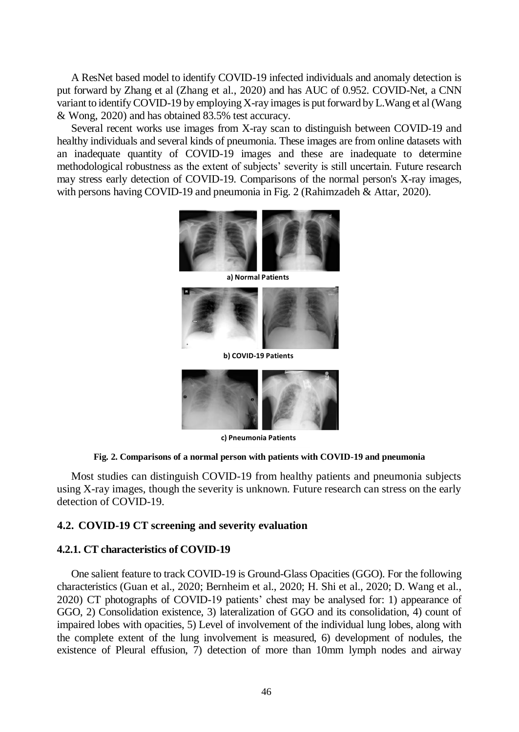A ResNet based model to identify COVID-19 infected individuals and anomaly detection is put forward by Zhang et al (Zhang et al., 2020) and has AUC of 0.952. COVID-Net, a CNN variant to identify COVID-19 by employing X-ray images is put forward by L.Wang et al (Wang & Wong, 2020) and has obtained 83.5% test accuracy.

Several recent works use images from X-ray scan to distinguish between COVID-19 and healthy individuals and several kinds of pneumonia. These images are from online datasets with an inadequate quantity of COVID-19 images and these are inadequate to determine methodological robustness as the extent of subjects' severity is still uncertain. Future research may stress early detection of COVID-19. Comparisons of the normal person's X-ray images, with persons having COVID-19 and pneumonia in Fig. 2 (Rahimzadeh & Attar, 2020).



**a) Normal Patients**



**b) COVID-19 Patients**



**c) Pneumonia Patients**

#### **Fig. 2. Comparisons of a normal person with patients with COVID-19 and pneumonia**

Most studies can distinguish COVID-19 from healthy patients and pneumonia subjects using X-ray images, though the severity is unknown. Future research can stress on the early detection of COVID-19.

# **4.2. COVID-19 CT screening and severity evaluation**

#### **4.2.1. CT characteristics of COVID-19**

One salient feature to track COVID-19 is Ground-Glass Opacities (GGO). For the following characteristics (Guan et al., 2020; Bernheim et al., 2020; H. Shi et al., 2020; D. Wang et al., 2020) CT photographs of COVID-19 patients' chest may be analysed for: 1) appearance of GGO, 2) Consolidation existence, 3) lateralization of GGO and its consolidation, 4) count of impaired lobes with opacities, 5) Level of involvement of the individual lung lobes, along with the complete extent of the lung involvement is measured, 6) development of nodules, the existence of Pleural effusion, 7) detection of more than 10mm lymph nodes and airway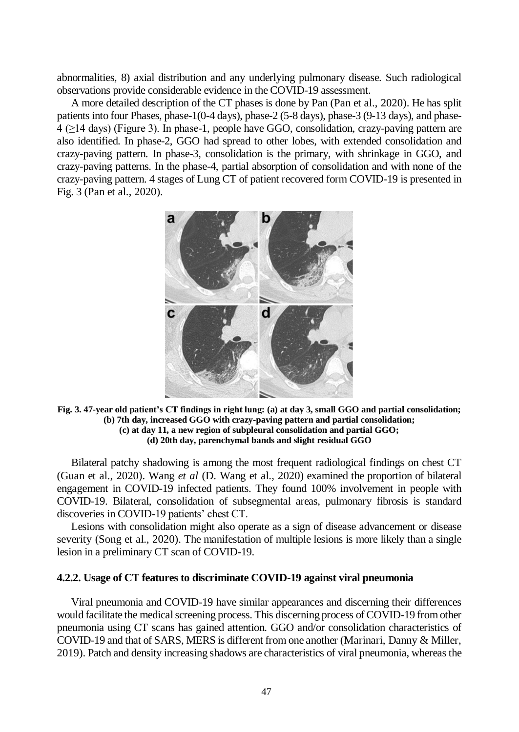abnormalities, 8) axial distribution and any underlying pulmonary disease. Such radiological observations provide considerable evidence in the COVID-19 assessment.

A more detailed description of the CT phases is done by Pan (Pan et al., 2020). He has split patients into four Phases, phase-1(0-4 days), phase-2 (5-8 days), phase-3 (9-13 days), and phase-4 (≥14 days) (Figure 3). In phase-1, people have GGO, consolidation, crazy-paving pattern are also identified. In phase-2, GGO had spread to other lobes, with extended consolidation and crazy-paving pattern. In phase-3, consolidation is the primary, with shrinkage in GGO, and crazy-paving patterns. In the phase-4, partial absorption of consolidation and with none of the crazy-paving pattern. 4 stages of Lung CT of patient recovered form COVID-19 is presented in Fig. 3 (Pan et al., 2020).



**Fig. 3. 47-year old patient's CT findings in right lung: (a) at day 3, small GGO and partial consolidation; (b) 7th day, increased GGO with crazy-paving pattern and partial consolidation; (c) at day 11, a new region of subpleural consolidation and partial GGO; (d) 20th day, parenchymal bands and slight residual GGO**

Bilateral patchy shadowing is among the most frequent radiological findings on chest CT (Guan et al., 2020). Wang *et al* (D. Wang et al., 2020) examined the proportion of bilateral engagement in COVID-19 infected patients. They found 100% involvement in people with COVID-19. Bilateral, consolidation of subsegmental areas, pulmonary fibrosis is standard discoveries in COVID-19 patients' chest CT.

Lesions with consolidation might also operate as a sign of disease advancement or disease severity (Song et al., 2020). The manifestation of multiple lesions is more likely than a single lesion in a preliminary CT scan of COVID-19.

## **4.2.2. Usage of CT features to discriminate COVID-19 against viral pneumonia**

Viral pneumonia and COVID-19 have similar appearances and discerning their differences would facilitate the medical screening process. This discerning process of COVID-19 from other pneumonia using CT scans has gained attention. GGO and/or consolidation characteristics of COVID-19 and that of SARS, MERS is different from one another (Marinari, Danny & Miller, 2019). Patch and density increasing shadows are characteristics of viral pneumonia, whereas the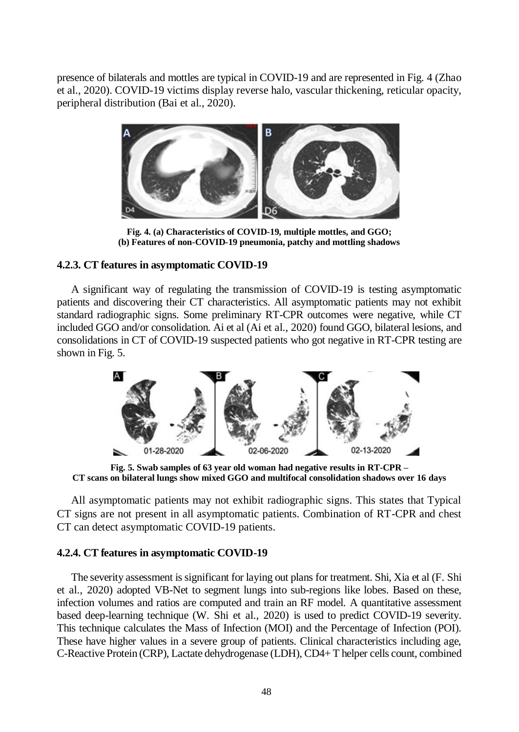presence of bilaterals and mottles are typical in COVID-19 and are represented in Fig. 4 (Zhao et al., 2020). COVID-19 victims display reverse halo, vascular thickening, reticular opacity, peripheral distribution (Bai et al., 2020).



**Fig. 4. (a) Characteristics of COVID-19, multiple mottles, and GGO; (b) Features of non-COVID-19 pneumonia, patchy and mottling shadows** 

# **4.2.3. CT features in asymptomatic COVID-19**

A significant way of regulating the transmission of COVID-19 is testing asymptomatic patients and discovering their CT characteristics. All asymptomatic patients may not exhibit standard radiographic signs. Some preliminary RT-CPR outcomes were negative, while CT included GGO and/or consolidation. Ai et al (Ai et al., 2020) found GGO, bilateral lesions, and consolidations in CT of COVID-19 suspected patients who got negative in RT-CPR testing are shown in Fig. 5.



**Fig. 5. Swab samples of 63 year old woman had negative results in RT-CPR – CT scans on bilateral lungs show mixed GGO and multifocal consolidation shadows over 16 days**

All asymptomatic patients may not exhibit radiographic signs. This states that Typical CT signs are not present in all asymptomatic patients. Combination of RT-CPR and chest CT can detect asymptomatic COVID-19 patients.

## **4.2.4. CT features in asymptomatic COVID-19**

The severity assessment is significant for laying out plans for treatment. Shi, Xia et al (F. Shi et al., 2020) adopted VB-Net to segment lungs into sub-regions like lobes. Based on these, infection volumes and ratios are computed and train an RF model. A quantitative assessment based deep-learning technique (W. Shi et al., 2020) is used to predict COVID-19 severity. This technique calculates the Mass of Infection (MOI) and the Percentage of Infection (POI). These have higher values in a severe group of patients. Clinical characteristics including age, C-Reactive Protein (CRP), Lactate dehydrogenase (LDH), CD4+ T helper cells count, combined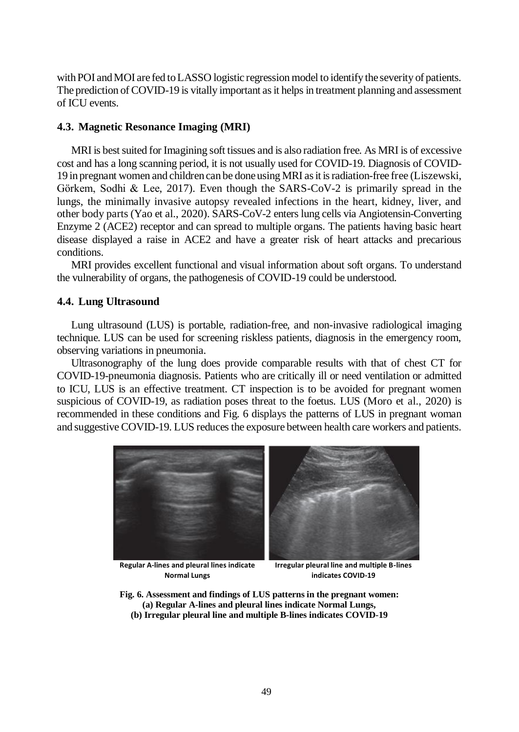with POI and MOI are fed to LASSO logistic regression model to identify the severity of patients. The prediction of COVID-19 is vitally important as it helps in treatment planning and assessment of ICU events.

#### **4.3. Magnetic Resonance Imaging (MRI)**

MRI is best suited for Imagining soft tissues and is also radiation free. As MRI is of excessive cost and has a long scanning period, it is not usually used for COVID-19. Diagnosis of COVID-19 in pregnant women and children can be done using MRI as it is radiation-free free (Liszewski, Görkem, Sodhi & Lee, 2017). Even though the SARS-CoV-2 is primarily spread in the lungs, the minimally invasive autopsy revealed infections in the heart, kidney, liver, and other body parts (Yao et al., 2020). SARS-CoV-2 enters lung cells via Angiotensin-Converting Enzyme 2 (ACE2) receptor and can spread to multiple organs. The patients having basic heart disease displayed a raise in ACE2 and have a greater risk of heart attacks and precarious conditions.

MRI provides excellent functional and visual information about soft organs. To understand the vulnerability of organs, the pathogenesis of COVID-19 could be understood.

## **4.4. Lung Ultrasound**

Lung ultrasound (LUS) is portable, radiation-free, and non-invasive radiological imaging technique. LUS can be used for screening riskless patients, diagnosis in the emergency room, observing variations in pneumonia.

Ultrasonography of the lung does provide comparable results with that of chest CT for COVID-19-pneumonia diagnosis. Patients who are critically ill or need ventilation or admitted to ICU, LUS is an effective treatment. CT inspection is to be avoided for pregnant women suspicious of COVID-19, as radiation poses threat to the foetus. LUS (Moro et al., 2020) is recommended in these conditions and Fig. 6 displays the patterns of LUS in pregnant woman and suggestive COVID-19. LUS reduces the exposure between health care workers and patients.



**Regular A-lines and pleural lines indicate Normal Lungs**

**Irregular pleural line and multiple B-lines indicates COVID-19**

- **Fig. 6. Assessment and findings of LUS patterns in the pregnant women: (a) Regular A-lines and pleural lines indicate Normal Lungs,** 
	- **(b) Irregular pleural line and multiple B-lines indicates COVID-19**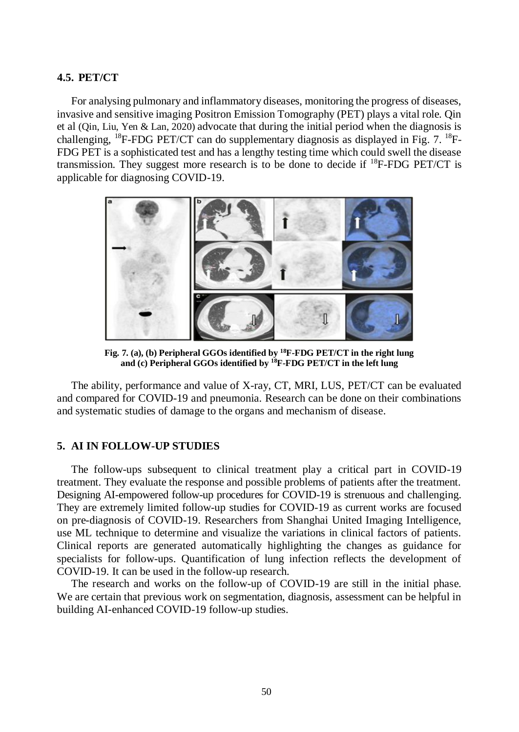## **4.5. PET/CT**

For analysing pulmonary and inflammatory diseases, monitoring the progress of diseases, invasive and sensitive imaging Positron Emission Tomography (PET) plays a vital role. Qin et al (Qin, Liu, Yen & Lan, 2020) advocate that during the initial period when the diagnosis is challenging,  $^{18}$ F-FDG PET/CT can do supplementary diagnosis as displayed in Fig. 7.  $^{18}$ F-FDG PET is a sophisticated test and has a lengthy testing time which could swell the disease transmission. They suggest more research is to be done to decide if  ${}^{18}F$ -FDG PET/CT is applicable for diagnosing COVID-19.



**Fig. 7. (a), (b) Peripheral GGOs identified by <sup>18</sup>F-FDG PET/CT in the right lung and (c) Peripheral GGOs identified by <sup>18</sup>F-FDG PET/CT in the left lung**

The ability, performance and value of X-ray, CT, MRI, LUS, PET/CT can be evaluated and compared for COVID-19 and pneumonia. Research can be done on their combinations and systematic studies of damage to the organs and mechanism of disease.

## **5. AI IN FOLLOW-UP STUDIES**

The follow-ups subsequent to clinical treatment play a critical part in COVID-19 treatment. They evaluate the response and possible problems of patients after the treatment. Designing AI-empowered follow-up procedures for COVID-19 is strenuous and challenging. They are extremely limited follow-up studies for COVID-19 as current works are focused on pre-diagnosis of COVID-19. Researchers from Shanghai United Imaging Intelligence, use ML technique to determine and visualize the variations in clinical factors of patients. Clinical reports are generated automatically highlighting the changes as guidance for specialists for follow-ups. Quantification of lung infection reflects the development of COVID-19. It can be used in the follow-up research.

The research and works on the follow-up of COVID-19 are still in the initial phase. We are certain that previous work on segmentation, diagnosis, assessment can be helpful in building AI-enhanced COVID-19 follow-up studies.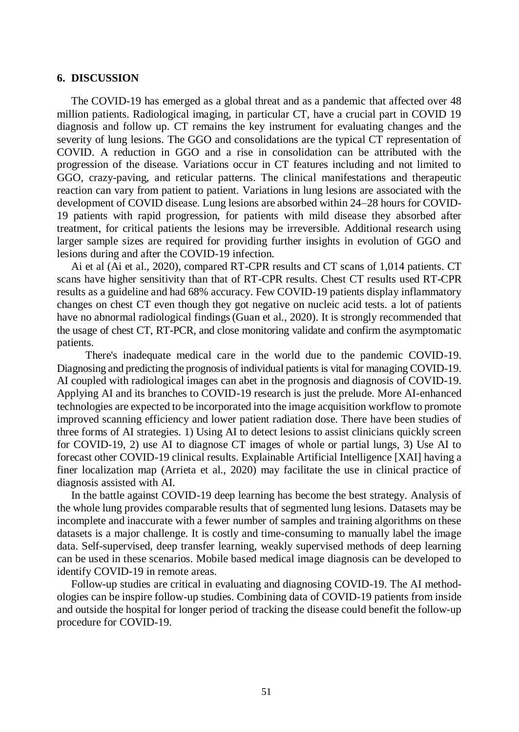#### **6. DISCUSSION**

The COVID-19 has emerged as a global threat and as a pandemic that affected over 48 million patients. Radiological imaging, in particular CT, have a crucial part in COVID 19 diagnosis and follow up. CT remains the key instrument for evaluating changes and the severity of lung lesions. The GGO and consolidations are the typical CT representation of COVID. A reduction in GGO and a rise in consolidation can be attributed with the progression of the disease. Variations occur in CT features including and not limited to GGO, crazy-paving, and reticular patterns. The clinical manifestations and therapeutic reaction can vary from patient to patient. Variations in lung lesions are associated with the development of COVID disease. Lung lesions are absorbed within 24–28 hours for COVID-19 patients with rapid progression, for patients with mild disease they absorbed after treatment, for critical patients the lesions may be irreversible. Additional research using larger sample sizes are required for providing further insights in evolution of GGO and lesions during and after the COVID-19 infection.

Ai et al (Ai et al., 2020), compared RT-CPR results and CT scans of 1,014 patients. CT scans have higher sensitivity than that of RT-CPR results. Chest CT results used RT-CPR results as a guideline and had 68% accuracy. Few COVID-19 patients display inflammatory changes on chest CT even though they got negative on nucleic acid tests. a lot of patients have no abnormal radiological findings(Guan et al., 2020). It is strongly recommended that the usage of chest CT, RT-PCR, and close monitoring validate and confirm the asymptomatic patients.

There's inadequate medical care in the world due to the pandemic COVID-19. Diagnosing and predicting the prognosis of individual patients is vital for managing COVID-19. AI coupled with radiological images can abet in the prognosis and diagnosis of COVID-19. Applying AI and its branches to COVID-19 research is just the prelude. More AI-enhanced technologies are expected to be incorporated into the image acquisition workflow to promote improved scanning efficiency and lower patient radiation dose. There have been studies of three forms of AI strategies. 1) Using AI to detect lesions to assist clinicians quickly screen for COVID-19, 2) use AI to diagnose CT images of whole or partial lungs, 3) Use AI to forecast other COVID-19 clinical results. Explainable Artificial Intelligence [XAI] having a finer localization map (Arrieta et al., 2020) may facilitate the use in clinical practice of diagnosis assisted with AI.

In the battle against COVID-19 deep learning has become the best strategy. Analysis of the whole lung provides comparable results that of segmented lung lesions. Datasets may be incomplete and inaccurate with a fewer number of samples and training algorithms on these datasets is a major challenge. It is costly and time-consuming to manually label the image data. Self-supervised, deep transfer learning, weakly supervised methods of deep learning can be used in these scenarios. Mobile based medical image diagnosis can be developed to identify COVID-19 in remote areas.

Follow-up studies are critical in evaluating and diagnosing COVID-19. The AI methodologies can be inspire follow-up studies. Combining data of COVID-19 patients from inside and outside the hospital for longer period of tracking the disease could benefit the follow-up procedure for COVID-19.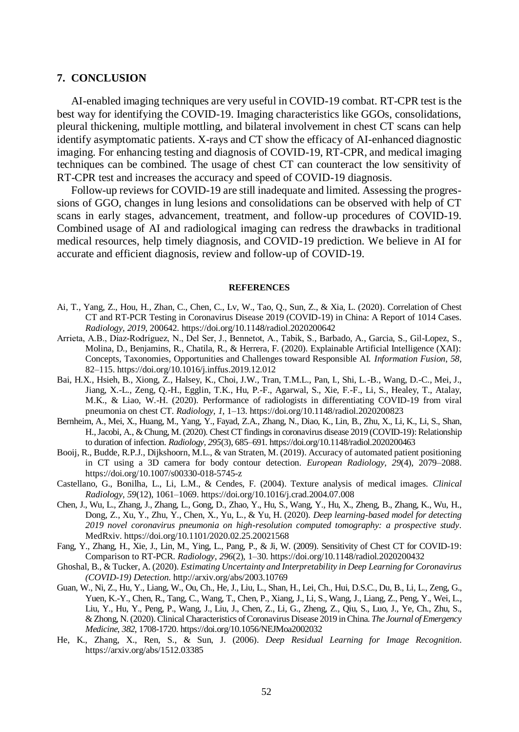#### **7. CONCLUSION**

AI-enabled imaging techniques are very useful in COVID-19 combat. RT-CPR test is the best way for identifying the COVID-19. Imaging characteristics like GGOs, consolidations, pleural thickening, multiple mottling, and bilateral involvement in chest CT scans can help identify asymptomatic patients. X-rays and CT show the efficacy of AI-enhanced diagnostic imaging. For enhancing testing and diagnosis of COVID-19, RT-CPR, and medical imaging techniques can be combined. The usage of chest CT can counteract the low sensitivity of RT-CPR test and increases the accuracy and speed of COVID-19 diagnosis.

Follow-up reviews for COVID-19 are still inadequate and limited. Assessing the progressions of GGO, changes in lung lesions and consolidations can be observed with help of CT scans in early stages, advancement, treatment, and follow-up procedures of COVID-19. Combined usage of AI and radiological imaging can redress the drawbacks in traditional medical resources, help timely diagnosis, and COVID-19 prediction. We believe in AI for accurate and efficient diagnosis, review and follow-up of COVID-19.

#### **REFERENCES**

- Ai, T., Yang, Z., Hou, H., Zhan, C., Chen, C., Lv, W., Tao, Q., Sun, Z., & Xia, L. (2020). Correlation of Chest CT and RT-PCR Testing in Coronavirus Disease 2019 (COVID-19) in China: A Report of 1014 Cases. *Radiology*, *2019*, 200642. https://doi.org/10.1148/radiol.2020200642
- Arrieta, A.B., Díaz-Rodríguez, N., Del Ser, J., Bennetot, A., Tabik, S., Barbado, A., Garcia, S., Gil-Lopez, S., Molina, D., Benjamins, R., Chatila, R., & Herrera, F. (2020). Explainable Artificial Intelligence (XAI): Concepts, Taxonomies, Opportunities and Challenges toward Responsible AI. *Information Fusion*, *58*, 82–115. https://doi.org/10.1016/j.inffus.2019.12.012
- Bai, H.X., Hsieh, B., Xiong, Z., Halsey, K., Choi, J.W., Tran, T.M.L., Pan, I., Shi, L.-B., Wang, D.-C., Mei, J., Jiang, X.-L., Zeng, Q.-H., Egglin, T.K., Hu, P.-F., Agarwal, S., Xie, F.-F., Li, S., Healey, T., Atalay, M.K., & Liao, W.-H. (2020). Performance of radiologists in differentiating COVID-19 from viral pneumonia on chest CT. *Radiology*, *1*, 1–13. https://doi.org/10.1148/radiol.2020200823
- Bernheim, A., Mei, X., Huang, M., Yang, Y., Fayad, Z.A., Zhang, N., Diao, K., Lin, B., Zhu, X., Li, K., Li, S., Shan, H., Jacobi, A., & Chung, M. (2020). Chest CT findings in coronavirus disease 2019 (COVID-19): Relationship to duration of infection. *Radiology*, *295*(3), 685–691. https://doi.org/10.1148/radiol.2020200463
- Booij, R., Budde, R.P.J., Dijkshoorn, M.L., & van Straten, M. (2019). Accuracy of automated patient positioning in CT using a 3D camera for body contour detection. *European Radiology*, *29*(4), 2079–2088. https://doi.org/10.1007/s00330-018-5745-z
- Castellano, G., Bonilha, L., Li, L.M., & Cendes, F. (2004). Texture analysis of medical images. *Clinical Radiology*, *59*(12), 1061–1069. https://doi.org/10.1016/j.crad.2004.07.008
- Chen, J., Wu, L., Zhang, J., Zhang, L., Gong, D., Zhao, Y., Hu, S., Wang, Y., Hu, X., Zheng, B., Zhang, K., Wu, H., Dong, Z., Xu, Y., Zhu, Y., Chen, X., Yu, L., & Yu, H. (2020). *Deep learning-based model for detecting 2019 novel coronavirus pneumonia on high-resolution computed tomography: a prospective study*. MedRxiv. https://doi.org/10.1101/2020.02.25.20021568
- Fang, Y., Zhang, H., Xie, J., Lin, M., Ying, L., Pang, P., & Ji, W. (2009). Sensitivity of Chest CT for COVID-19: Comparison to RT-PCR. *Radiology*, *296*(2), 1–30. https://doi.org/10.1148/radiol.2020200432
- Ghoshal, B., & Tucker, A. (2020). *Estimating Uncertainty and Interpretability in Deep Learning for Coronavirus (COVID-19) Detection*. http://arxiv.org/abs/2003.10769
- Guan, W., Ni, Z., Hu, Y., Liang, W., Ou, Ch., He, J., Liu, L., Shan, H., Lei, Ch., Hui, D.S.C., Du, B., Li, L., Zeng, G., Yuen, K.-Y., Chen, R., Tang, C., Wang, T., Chen, P., Xiang, J., Li, S., Wang, J., Liang, Z., Peng, Y., Wei, L., Liu, Y., Hu, Y., Peng, P., Wang, J., Liu, J., Chen, Z., Li, G., Zheng, Z., Qiu, S., Luo, J., Ye, Ch., Zhu, S., & Zhong, N. (2020). Clinical Characteristics of Coronavirus Disease 2019 in China. *The Journal of Emergency Medicine*, *382*, 1708-1720. https://doi.org/10.1056/NEJMoa2002032
- He, K., Zhang, X., Ren, S., & Sun, J. (2006). *Deep Residual Learning for Image Recognition*. https://arxiv.org/abs/1512.03385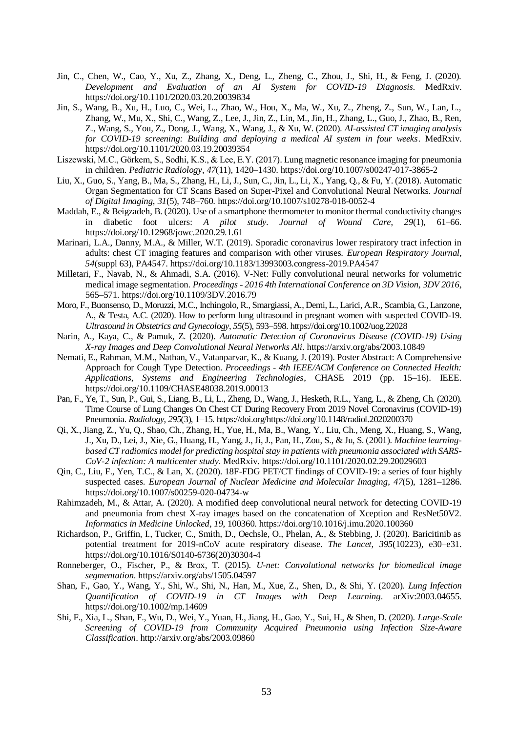- Jin, C., Chen, W., Cao, Y., Xu, Z., Zhang, X., Deng, L., Zheng, C., Zhou, J., Shi, H., & Feng, J. (2020). *Development and Evaluation of an AI System for COVID-19 Diagnosis*. MedRxiv. https://doi.org/10.1101/2020.03.20.20039834
- Jin, S., Wang, B., Xu, H., Luo, C., Wei, L., Zhao, W., Hou, X., Ma, W., Xu, Z., Zheng, Z., Sun, W., Lan, L., Zhang, W., Mu, X., Shi, C., Wang, Z., Lee, J., Jin, Z., Lin, M., Jin, H., Zhang, L., Guo, J., Zhao, B., Ren, Z., Wang, S., You, Z., Dong, J., Wang, X., Wang, J., & Xu, W. (2020). *AI-assisted CT imaging analysis for COVID-19 screening: Building and deploying a medical AI system in four weeks*. MedRxiv. https://doi.org/10.1101/2020.03.19.20039354
- Liszewski, M.C., Görkem, S., Sodhi, K.S., & Lee, E.Y. (2017). Lung magnetic resonance imaging for pneumonia in children. *Pediatric Radiology*, *47*(11), 1420–1430. https://doi.org/10.1007/s00247-017-3865-2
- Liu, X., Guo, S., Yang, B., Ma, S., Zhang, H., Li, J., Sun, C., Jin, L., Li, X., Yang, Q., & Fu, Y. (2018). Automatic Organ Segmentation for CT Scans Based on Super-Pixel and Convolutional Neural Networks. *Journal of Digital Imaging*, *31*(5), 748–760. https://doi.org/10.1007/s10278-018-0052-4
- Maddah, E., & Beigzadeh, B. (2020). Use of a smartphone thermometer to monitor thermal conductivity changes in diabetic foot ulcers: *A pilot study. Journal of Wound Care*, *29*(1), 61–66. https://doi.org/10.12968/jowc.2020.29.1.61
- Marinari, L.A., Danny, M.A., & Miller, W.T. (2019). Sporadic coronavirus lower respiratory tract infection in adults: chest CT imaging features and comparison with other viruses. *European Respiratory Journal*, *54*(suppl 63), PA4547. https://doi.org/10.1183/13993003.congress-2019.PA4547
- Milletari, F., Navab, N., & Ahmadi, S.A. (2016). V-Net: Fully convolutional neural networks for volumetric medical image segmentation. *Proceedings - 2016 4th International Conference on 3D Vision*, *3DV 2016*, 565–571. https://doi.org/10.1109/3DV.2016.79
- Moro, F., Buonsenso, D., Moruzzi, M.C., Inchingolo, R., Smargiassi, A., Demi, L., Larici, A.R., Scambia, G., Lanzone, A., & Testa, A.C. (2020). How to perform lung ultrasound in pregnant women with suspected COVID-19. *Ultrasound in Obstetrics and Gynecology*, *55*(5), 593–598. https://doi.org/10.1002/uog.22028
- Narin, A., Kaya, C., & Pamuk, Z. (2020). *Automatic Detection of Coronavirus Disease (COVID-19) Using X-ray Images and Deep Convolutional Neural Networks Ali*. https://arxiv.org/abs/2003.10849
- Nemati, E., Rahman, M.M., Nathan, V., Vatanparvar, K., & Kuang, J. (2019). Poster Abstract: A Comprehensive Approach for Cough Type Detection. *Proceedings - 4th IEEE/ACM Conference on Connected Health: Applications, Systems and Engineering Technologies*, CHASE 2019 (pp. 15–16). IEEE. https://doi.org/10.1109/CHASE48038.2019.00013
- Pan, F., Ye, T., Sun, P., Gui, S., Liang, B., Li, L., Zheng, D., Wang, J., Hesketh, R.L., Yang, L., & Zheng, Ch. (2020). Time Course of Lung Changes On Chest CT During Recovery From 2019 Novel Coronavirus (COVID-19) Pneumonia. *Radiology*, *295*(3), 1–15. https://doi.org/https://doi.org/10.1148/radiol.2020200370
- Qi, X., Jiang, Z., Yu, Q., Shao, Ch., Zhang, H., Yue, H., Ma, B., Wang, Y., Liu, Ch., Meng, X., Huang, S., Wang, J., Xu, D., Lei, J., Xie, G., Huang, H., Yang, J., Ji, J., Pan, H., Zou, S., & Ju, S. (2001). *Machine learningbased CT radiomics model for predicting hospital stay in patients with pneumonia associated with SARS-CoV-2 infection: A multicenter study*. MedRxiv. https://doi.org/10.1101/2020.02.29.20029603
- Qin, C., Liu, F., Yen, T.C., & Lan, X. (2020). 18F-FDG PET/CT findings of COVID-19: a series of four highly suspected cases. *European Journal of Nuclear Medicine and Molecular Imaging*, *47*(5), 1281–1286. https://doi.org/10.1007/s00259-020-04734-w
- Rahimzadeh, M., & Attar, A. (2020). A modified deep convolutional neural network for detecting COVID-19 and pneumonia from chest X-ray images based on the concatenation of Xception and ResNet50V2. *Informatics in Medicine Unlocked*, *19*, 100360. https://doi.org/10.1016/j.imu.2020.100360
- Richardson, P., Griffin, I., Tucker, C., Smith, D., Oechsle, O., Phelan, A., & Stebbing, J. (2020). Baricitinib as potential treatment for 2019-nCoV acute respiratory disease. *The Lancet*, *395*(10223), e30–e31. https://doi.org/10.1016/S0140-6736(20)30304-4
- Ronneberger, O., Fischer, P., & Brox, T. (2015). *U-net: Convolutional networks for biomedical image segmentation*. https://arxiv.org/abs/1505.04597
- Shan, F., Gao, Y., Wang, Y., Shi, W., Shi, N., Han, M., Xue, Z., Shen, D., & Shi, Y. (2020). *Lung Infection Quantification of COVID-19 in CT Images with Deep Learning*. arXiv:2003.04655. https://doi.org/10.1002/mp.14609
- Shi, F., Xia, L., Shan, F., Wu, D., Wei, Y., Yuan, H., Jiang, H., Gao, Y., Sui, H., & Shen, D. (2020). *Large-Scale Screening of COVID-19 from Community Acquired Pneumonia using Infection Size-Aware Classification*. http://arxiv.org/abs/2003.09860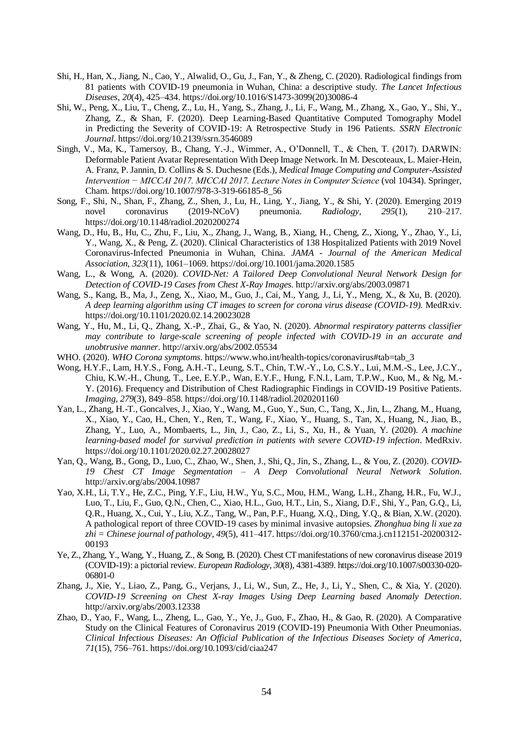- Shi, H., Han, X., Jiang, N., Cao, Y., Alwalid, O., Gu, J., Fan, Y., & Zheng, C. (2020). Radiological findings from 81 patients with COVID-19 pneumonia in Wuhan, China: a descriptive study. *The Lancet Infectious Diseases*, *20*(4), 425–434. https://doi.org/10.1016/S1473-3099(20)30086-4
- Shi, W., Peng, X., Liu, T., Cheng, Z., Lu, H., Yang, S., Zhang, J., Li, F., Wang, M., Zhang, X., Gao, Y., Shi, Y., Zhang, Z., & Shan, F. (2020). Deep Learning-Based Quantitative Computed Tomography Model in Predicting the Severity of COVID-19: A Retrospective Study in 196 Patients. *SSRN Electronic Journal*. https://doi.org/10.2139/ssrn.3546089
- Singh, V., Ma, K., Tamersoy, B., Chang, Y.-J., Wimmer, A., O'Donnell, T., & Chen, T. (2017). DARWIN: Deformable Patient Avatar Representation With Deep Image Network. In M. Descoteaux, L. Maier-Hein, A. Franz, P. Jannin, D. Collins & S. Duchesne (Eds.), *Medical Image Computing and Computer-Assisted Intervention − MICCAI 2017. MICCAI 2017. Lecture Notes in Computer Science* (vol 10434). Springer, Cham. https://doi.org/10.1007/978-3-319-66185-8\_56
- Song, F., Shi, N., Shan, F., Zhang, Z., Shen, J., Lu, H., Ling, Y., Jiang, Y., & Shi, Y. (2020). Emerging 2019 novel coronavirus (2019-NCoV) pneumonia. *Radiology*, *295*(1), 210–217. https://doi.org/10.1148/radiol.2020200274
- Wang, D., Hu, B., Hu, C., Zhu, F., Liu, X., Zhang, J., Wang, B., Xiang, H., Cheng, Z., Xiong, Y., Zhao, Y., Li, Y., Wang, X., & Peng, Z. (2020). Clinical Characteristics of 138 Hospitalized Patients with 2019 Novel Coronavirus-Infected Pneumonia in Wuhan, China. *JAMA - Journal of the American Medical Association*, *323*(11), 1061–1069. https://doi.org/10.1001/jama.2020.1585
- Wang, L., & Wong, A. (2020). *COVID-Net: A Tailored Deep Convolutional Neural Network Design for Detection of COVID-19 Cases from Chest X-Ray Images*. http://arxiv.org/abs/2003.09871
- Wang, S., Kang, B., Ma, J., Zeng, X., Xiao, M., Guo, J., Cai, M., Yang, J., Li, Y., Meng, X., & Xu, B. (2020). *A deep learning algorithm using CT images to screen for corona virus disease (COVID-19).* MedRxiv. https://doi.org/10.1101/2020.02.14.20023028
- Wang, Y., Hu, M., Li, Q., Zhang, X.-P., Zhai, G., & Yao, N. (2020). *Abnormal respiratory patterns classifier may contribute to large-scale screening of people infected with COVID-19 in an accurate and unobtrusive manner*. http://arxiv.org/abs/2002.05534
- WHO. (2020). *WHO Corona symptoms*. https://www.who.int/health-topics/coronavirus#tab=tab\_3
- Wong, H.Y.F., Lam, H.Y.S., Fong, A.H.-T., Leung, S.T., Chin, T.W.-Y., Lo, C.S.Y., Lui, M.M.-S., Lee, J.C.Y., Chiu, K.W.-H., Chung, T., Lee, E.Y.P., Wan, E.Y.F., Hung, F.N.I., Lam, T.P.W., Kuo, M., & Ng, M.- Y. (2016). Frequency and Distribution of Chest Radiographic Findings in COVID-19 Positive Patients. *Imaging*, *279*(3), 849–858. https://doi.org/10.1148/radiol.2020201160
- Yan, L., Zhang, H.-T., Goncalves, J., Xiao, Y., Wang, M., Guo, Y., Sun, C., Tang, X., Jin, L., Zhang, M., Huang, X., Xiao, Y., Cao, H., Chen, Y., Ren, T., Wang, F., Xiao, Y., Huang, S., Tan, X., Huang, N., Jiao, B., Zhang, Y., Luo, A., Mombaerts, L., Jin, J., Cao, Z., Li, S., Xu, H., & Yuan, Y. (2020). *A machine learning-based model for survival prediction in patients with severe COVID-19 infection*. MedRxiv. https://doi.org/10.1101/2020.02.27.20028027
- Yan, Q., Wang, B., Gong, D., Luo, C., Zhao, W., Shen, J., Shi, Q., Jin, S., Zhang, L., & You, Z. (2020). *COVID-19 Chest CT Image Segmentation – A Deep Convolutional Neural Network Solution*. http://arxiv.org/abs/2004.10987
- Yao, X.H., Li, T.Y., He, Z.C., Ping, Y.F., Liu, H.W., Yu, S.C., Mou, H.M., Wang, L.H., Zhang, H.R., Fu, W.J., Luo, T., Liu, F., Guo, Q.N., Chen, C., Xiao, H.L., Guo, H.T., Lin, S., Xiang, D.F., Shi, Y., Pan, G.Q., Li, Q.R., Huang, X., Cui, Y., Liu, X.Z., Tang, W., Pan, P.F., Huang, X.Q., Ding, Y.Q., & Bian, X.W. (2020). A pathological report of three COVID-19 cases by minimal invasive autopsies. *Zhonghua bing li xue za zhi = Chinese journal of pathology*, *49*(5), 411–417. https://doi.org/10.3760/cma.j.cn112151-20200312- 00193
- Ye, Z., Zhang, Y., Wang, Y., Huang, Z., & Song, B. (2020). Chest CT manifestations of new coronavirus disease 2019 (COVID-19): a pictorial review. *European Radiology*, *30*(8), 4381-4389. https://doi.org/10.1007/s00330-020- 06801-0
- Zhang, J., Xie, Y., Liao, Z., Pang, G., Verjans, J., Li, W., Sun, Z., He, J., Li, Y., Shen, C., & Xia, Y. (2020). *COVID-19 Screening on Chest X-ray Images Using Deep Learning based Anomaly Detection*. http://arxiv.org/abs/2003.12338
- Zhao, D., Yao, F., Wang, L., Zheng, L., Gao, Y., Ye, J., Guo, F., Zhao, H., & Gao, R. (2020). A Comparative Study on the Clinical Features of Coronavirus 2019 (COVID-19) Pneumonia With Other Pneumonias. *Clinical Infectious Diseases: An Official Publication of the Infectious Diseases Society of America*, *71*(15), 756–761. https://doi.org/10.1093/cid/ciaa247